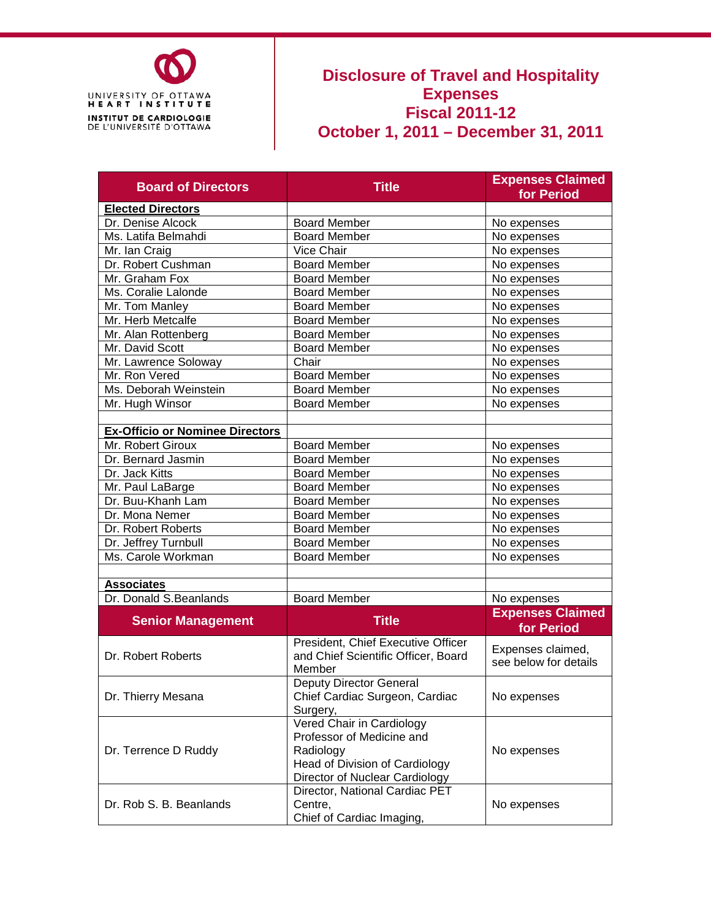

#### **Disclosure of Travel and Hospitality Expenses Fiscal 2011-12 October 1, 2011 – December 31, 2011**

| <b>Board of Directors</b>              | <b>Title</b>                                                                                                                            | <b>Expenses Claimed</b><br>for Period      |
|----------------------------------------|-----------------------------------------------------------------------------------------------------------------------------------------|--------------------------------------------|
| <b>Elected Directors</b>               |                                                                                                                                         |                                            |
| Dr. Denise Alcock                      | <b>Board Member</b>                                                                                                                     | No expenses                                |
| Ms. Latifa Belmahdi                    | <b>Board Member</b>                                                                                                                     | No expenses                                |
| Mr. Ian Craig                          | Vice Chair                                                                                                                              | No expenses                                |
| Dr. Robert Cushman                     | <b>Board Member</b>                                                                                                                     | No expenses                                |
| Mr. Graham Fox                         | <b>Board Member</b>                                                                                                                     | No expenses                                |
| Ms. Coralie Lalonde                    | <b>Board Member</b>                                                                                                                     | No expenses                                |
| Mr. Tom Manley                         | <b>Board Member</b>                                                                                                                     | No expenses                                |
| Mr. Herb Metcalfe                      | <b>Board Member</b>                                                                                                                     | No expenses                                |
| Mr. Alan Rottenberg                    | <b>Board Member</b>                                                                                                                     | No expenses                                |
| Mr. David Scott                        | <b>Board Member</b>                                                                                                                     | No expenses                                |
| Mr. Lawrence Soloway                   | Chair                                                                                                                                   | No expenses                                |
| Mr. Ron Vered                          | <b>Board Member</b>                                                                                                                     | No expenses                                |
| Ms. Deborah Weinstein                  | <b>Board Member</b>                                                                                                                     | No expenses                                |
| Mr. Hugh Winsor                        | <b>Board Member</b>                                                                                                                     | No expenses                                |
|                                        |                                                                                                                                         |                                            |
| <b>Ex-Officio or Nominee Directors</b> |                                                                                                                                         |                                            |
| Mr. Robert Giroux                      | <b>Board Member</b>                                                                                                                     | No expenses                                |
| Dr. Bernard Jasmin                     | <b>Board Member</b>                                                                                                                     | No expenses                                |
| Dr. Jack Kitts                         | <b>Board Member</b>                                                                                                                     | No expenses                                |
| Mr. Paul LaBarge                       | <b>Board Member</b>                                                                                                                     | No expenses                                |
| Dr. Buu-Khanh Lam                      | <b>Board Member</b>                                                                                                                     | No expenses                                |
| Dr. Mona Nemer                         | <b>Board Member</b>                                                                                                                     | No expenses                                |
| Dr. Robert Roberts                     | <b>Board Member</b>                                                                                                                     | No expenses                                |
| Dr. Jeffrey Turnbull                   | <b>Board Member</b>                                                                                                                     | No expenses                                |
| Ms. Carole Workman                     | <b>Board Member</b>                                                                                                                     | No expenses                                |
|                                        |                                                                                                                                         |                                            |
| <b>Associates</b>                      |                                                                                                                                         |                                            |
| Dr. Donald S.Beanlands                 | <b>Board Member</b>                                                                                                                     | No expenses                                |
| <b>Senior Management</b>               | <b>Title</b>                                                                                                                            | <b>Expenses Claimed</b><br>for Period      |
| Dr. Robert Roberts                     | President, Chief Executive Officer<br>and Chief Scientific Officer, Board<br>Member                                                     | Expenses claimed,<br>see below for details |
| Dr. Thierry Mesana                     | <b>Deputy Director General</b><br>Chief Cardiac Surgeon, Cardiac<br>Surgery,                                                            | No expenses                                |
| Dr. Terrence D Ruddy                   | Vered Chair in Cardiology<br>Professor of Medicine and<br>Radiology<br>Head of Division of Cardiology<br>Director of Nuclear Cardiology | No expenses                                |
| Dr. Rob S. B. Beanlands                | Director, National Cardiac PET<br>Centre,<br>Chief of Cardiac Imaging,                                                                  | No expenses                                |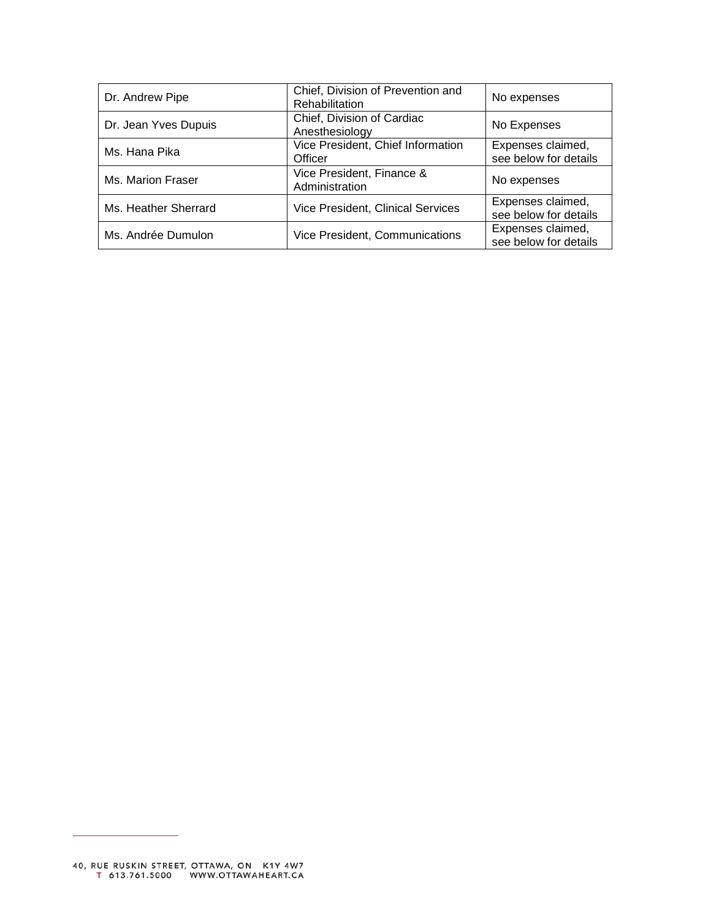| Dr. Andrew Pipe      | Chief, Division of Prevention and<br>Rehabilitation | No expenses                                |
|----------------------|-----------------------------------------------------|--------------------------------------------|
| Dr. Jean Yves Dupuis | Chief, Division of Cardiac<br>Anesthesiology        | No Expenses                                |
| Ms. Hana Pika        | Vice President, Chief Information<br>Officer        | Expenses claimed,<br>see below for details |
| Ms. Marion Fraser    | Vice President, Finance &<br>Administration         | No expenses                                |
| Ms. Heather Sherrard | <b>Vice President, Clinical Services</b>            | Expenses claimed,<br>see below for details |
| Ms. Andrée Dumulon   | Vice President, Communications                      | Expenses claimed,<br>see below for details |

 $\overline{\phantom{0}}$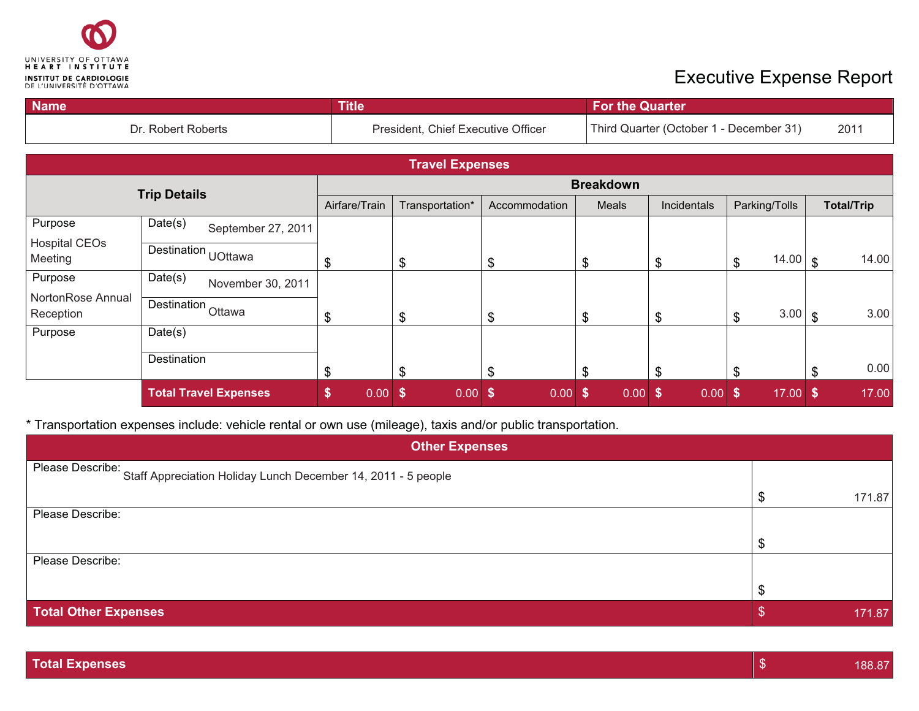

| <b>Name</b>                     |                               |                              | <b>Title</b>  |                                        |               | <b>For the Quarter</b> |                                         |                            |                        |  |
|---------------------------------|-------------------------------|------------------------------|---------------|----------------------------------------|---------------|------------------------|-----------------------------------------|----------------------------|------------------------|--|
| Dr. Robert Roberts              |                               |                              |               | President, Chief Executive Officer     |               |                        | Third Quarter (October 1 - December 31) |                            |                        |  |
|                                 |                               |                              |               | <b>Travel Expenses</b>                 |               |                        |                                         |                            |                        |  |
|                                 | <b>Trip Details</b>           |                              |               |                                        |               | <b>Breakdown</b>       |                                         |                            |                        |  |
|                                 |                               |                              | Airfare/Train | Transportation*                        | Accommodation | <b>Meals</b>           | Incidentals                             | Parking/Tolls              | <b>Total/Trip</b>      |  |
| Purpose                         | Date(s)                       | September 27, 2011           |               |                                        |               |                        |                                         |                            |                        |  |
| <b>Hospital CEOs</b><br>Meeting | Destination UOttawa           |                              | \$            | \$                                     | \$            | $\frac{1}{2}$          | æ                                       | 14.00<br>\$                | 14.00<br>$\mathbb{S}$  |  |
| Purpose                         | Date(s)                       | November 30, 2011            |               |                                        |               |                        |                                         |                            |                        |  |
| NortonRose Annual<br>Reception  | Destination <sub>Ottawa</sub> |                              | \$            | \$                                     | \$            | $\frac{1}{2}$          | .১                                      | 3.00<br>\$                 | 3.00<br>$\mathfrak{L}$ |  |
| Purpose                         | Date(s)                       |                              |               |                                        |               |                        |                                         |                            |                        |  |
|                                 | Destination                   |                              | \$            | \$                                     | \$            | \$                     | æ                                       | \$                         | 0.00<br>\$             |  |
|                                 |                               | <b>Total Travel Expenses</b> | \$<br>0.00    | $\boldsymbol{\mathsf{s}}$<br>$0.00$ \$ | $0.00$ \$     | 0.00 S                 | 0.00                                    | $17.00$ \$<br>$\mathbf{s}$ | 17.00                  |  |

\* Transportation expenses include: vehicle rental or own use (mileage), taxis and/or public transportation.

| <b>Other Expenses</b>                                                          |  |        |  |  |
|--------------------------------------------------------------------------------|--|--------|--|--|
| Please Describe: Staff Appreciation Holiday Lunch December 14, 2011 - 5 people |  |        |  |  |
|                                                                                |  | 171.87 |  |  |
| Please Describe:                                                               |  |        |  |  |
|                                                                                |  |        |  |  |
| Please Describe:                                                               |  |        |  |  |
|                                                                                |  |        |  |  |
| <b>Total Other Expenses</b>                                                    |  | 171.87 |  |  |

| <b>Total Expenses</b><br>188.87 |
|---------------------------------|
|---------------------------------|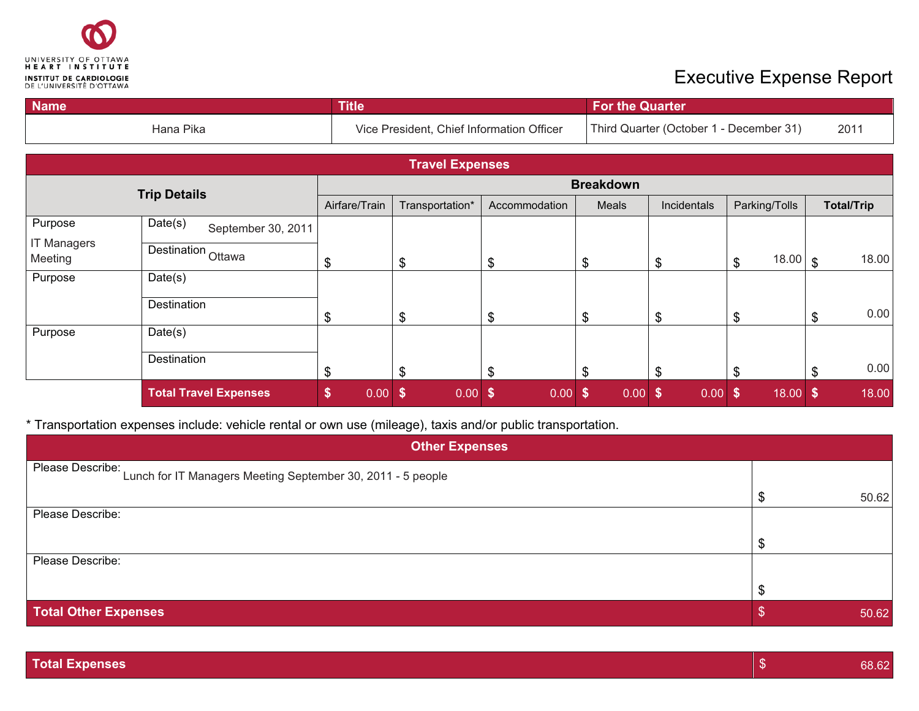

| <b>Name</b><br><b>Title</b>   |                               |                                           |                        |               | <b>For the Quarter</b>                  |             |               |                        |
|-------------------------------|-------------------------------|-------------------------------------------|------------------------|---------------|-----------------------------------------|-------------|---------------|------------------------|
|                               |                               | Vice President, Chief Information Officer |                        |               | Third Quarter (October 1 - December 31) |             |               |                        |
|                               |                               |                                           | <b>Travel Expenses</b> |               |                                         |             |               |                        |
|                               | <b>Trip Details</b>           |                                           |                        |               | <b>Breakdown</b>                        |             |               |                        |
|                               |                               | Airfare/Train                             | Transportation*        | Accommodation | Meals                                   | Incidentals | Parking/Tolls | <b>Total/Trip</b>      |
| Purpose<br><b>IT Managers</b> | Date(s)<br>September 30, 2011 |                                           |                        |               |                                         |             |               |                        |
| Meeting                       | Destination Ottawa            | \$                                        | \$                     | \$            | \$                                      | \$          | 18.00<br>\$   | 18.00<br>$\mathcal{S}$ |
| Purpose                       | Date(s)                       |                                           |                        |               |                                         |             |               |                        |
|                               | Destination                   | \$                                        | \$                     | \$            | $\boldsymbol{\mathsf{S}}$               | \$          | \$            | 0.00<br>\$             |
| Purpose                       | Date(s)                       |                                           |                        |               |                                         |             |               |                        |
|                               | Destination                   | \$                                        | \$                     | \$            | \$                                      | \$          | \$            | 0.00<br>\$             |
|                               | <b>Total Travel Expenses</b>  | \$<br>0.00                                | $\sqrt[6]{3}$<br>0.00  | \$<br>0.00    | $\mathbf{\hat{s}}$<br>$0.00$ \$         | $0.00$ \$   | $18.00$ \$    | 18.00                  |

\* Transportation expenses include: vehicle rental or own use (mileage), taxis and/or public transportation.

| <b>Other Expenses</b>                                                           |  |       |  |  |
|---------------------------------------------------------------------------------|--|-------|--|--|
| Please Describe:<br>Lunch for IT Managers Meeting September 30, 2011 - 5 people |  |       |  |  |
|                                                                                 |  | 50.62 |  |  |
| Please Describe:                                                                |  |       |  |  |
|                                                                                 |  |       |  |  |
| Please Describe:                                                                |  |       |  |  |
|                                                                                 |  |       |  |  |
| <b>Total Other Expenses</b>                                                     |  | 50.62 |  |  |

|--|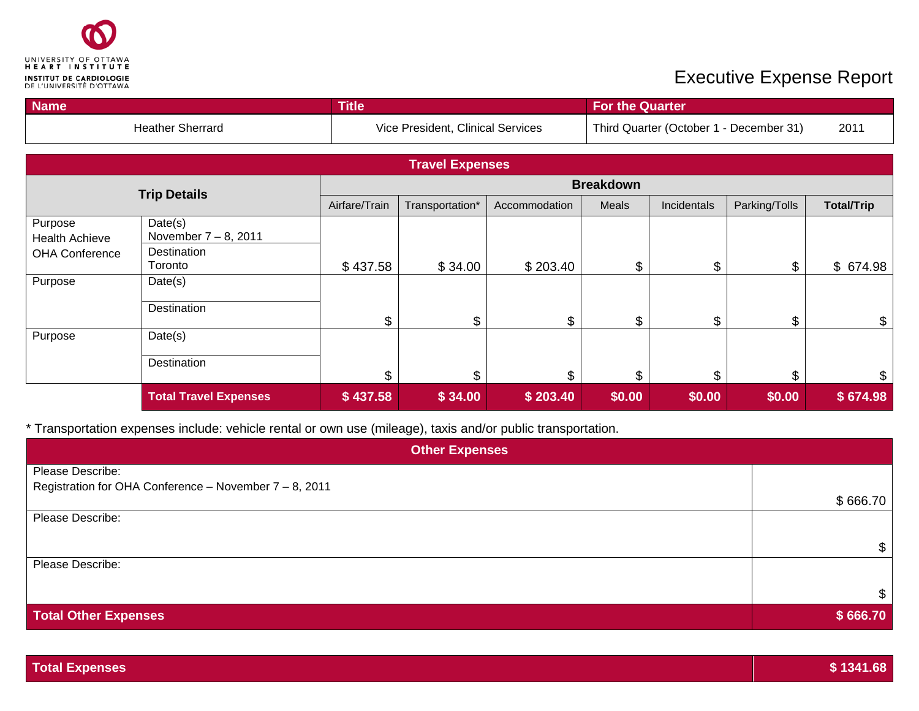

| <b>Name</b>                                                          |                                                                         | <b>Title</b>  |                                   |               | <b>For the Quarter</b> |                                                 |               |                            |  |
|----------------------------------------------------------------------|-------------------------------------------------------------------------|---------------|-----------------------------------|---------------|------------------------|-------------------------------------------------|---------------|----------------------------|--|
|                                                                      | <b>Heather Sherrard</b>                                                 |               | Vice President, Clinical Services |               |                        | Third Quarter (October 1 - December 31)<br>2011 |               |                            |  |
|                                                                      |                                                                         |               | <b>Travel Expenses</b>            |               |                        |                                                 |               |                            |  |
|                                                                      |                                                                         |               |                                   |               | <b>Breakdown</b>       |                                                 |               |                            |  |
|                                                                      | <b>Trip Details</b>                                                     | Airfare/Train | Transportation*                   | Accommodation | Meals                  | Incidentals                                     | Parking/Tolls | <b>Total/Trip</b>          |  |
| Purpose<br><b>Health Achieve</b><br><b>OHA Conference</b><br>Purpose | Date(s)<br>November $7 - 8$ , 2011<br>Destination<br>Toronto<br>Date(s) | \$437.58      | \$34.00                           | \$203.40      | \$                     | \$                                              | \$            | \$674.98                   |  |
|                                                                      | Destination                                                             | \$            | \$                                | \$            | $\mathfrak{L}$         | $\mathfrak{L}$                                  | \$            | $\boldsymbol{\mathsf{\$}}$ |  |
| Purpose                                                              | Date(s)<br>Destination                                                  | \$            | \$                                | \$            | \$                     | \$                                              | \$            | \$                         |  |
|                                                                      | <b>Total Travel Expenses</b>                                            | \$437.58      | \$34.00                           | \$203.40      | \$0.00                 | \$0.00                                          | \$0.00        | \$674.98                   |  |

\* Transportation expenses include: vehicle rental or own use (mileage), taxis and/or public transportation.

| <b>Other Expenses</b>                                     |          |  |  |  |  |
|-----------------------------------------------------------|----------|--|--|--|--|
| Please Describe:                                          |          |  |  |  |  |
| Registration for OHA Conference - November $7 - 8$ , 2011 |          |  |  |  |  |
|                                                           | \$666.70 |  |  |  |  |
| Please Describe:                                          |          |  |  |  |  |
|                                                           |          |  |  |  |  |
|                                                           |          |  |  |  |  |
| Please Describe:                                          |          |  |  |  |  |
|                                                           |          |  |  |  |  |
|                                                           |          |  |  |  |  |
| <b>Total Other Expenses</b>                               | \$666.70 |  |  |  |  |